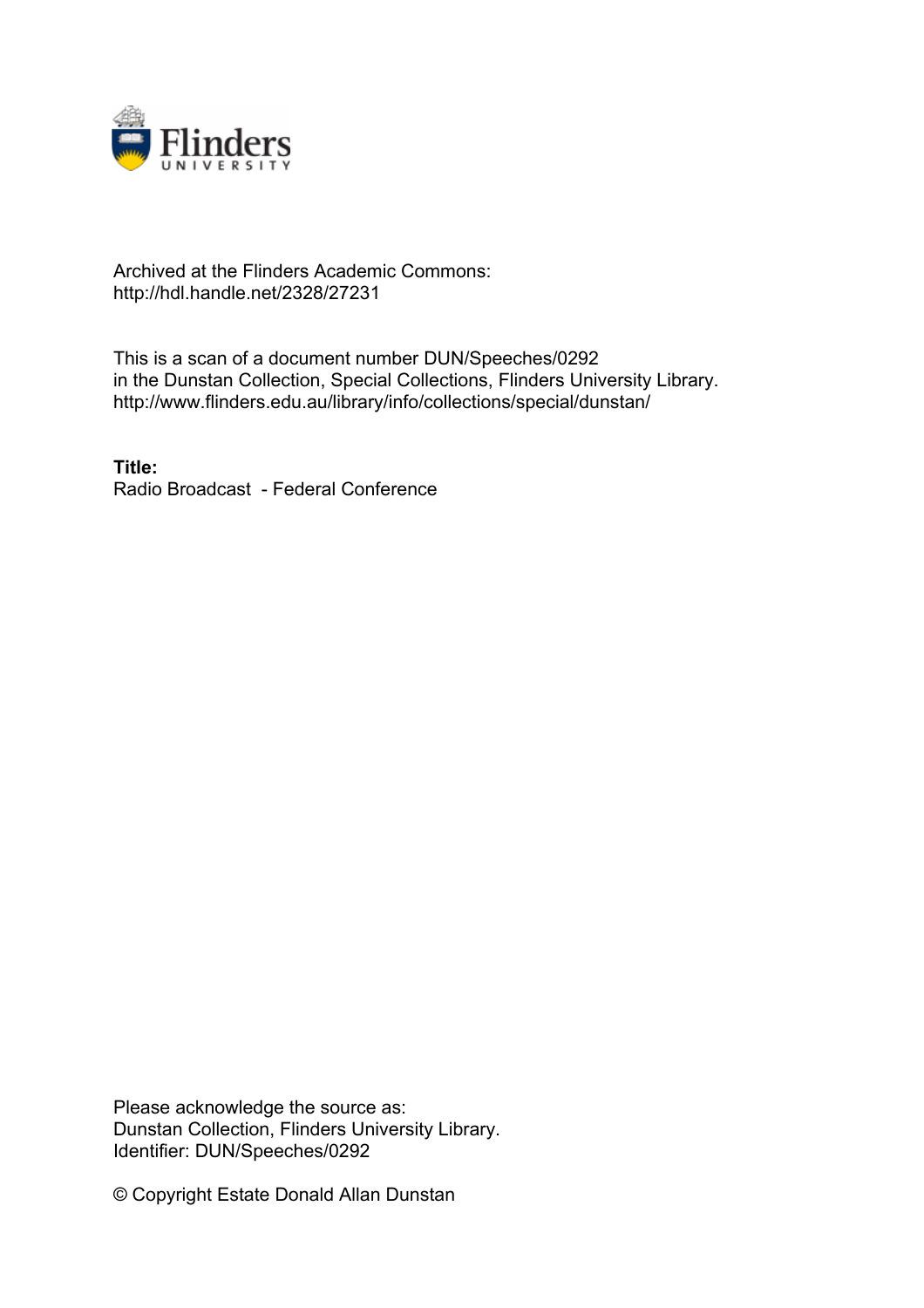

## Archived at the Flinders Academic Commons: http://hdl.handle.net/2328/27231

This is a scan of a document number DUN/Speeches/0292 in the Dunstan Collection, Special Collections, Flinders University Library. http://www.flinders.edu.au/library/info/collections/special/dunstan/

**Title:** Radio Broadcast - Federal Conference

Please acknowledge the source as: Dunstan Collection, Flinders University Library. Identifier: DUN/Speeches/0292

© Copyright Estate Donald Allan Dunstan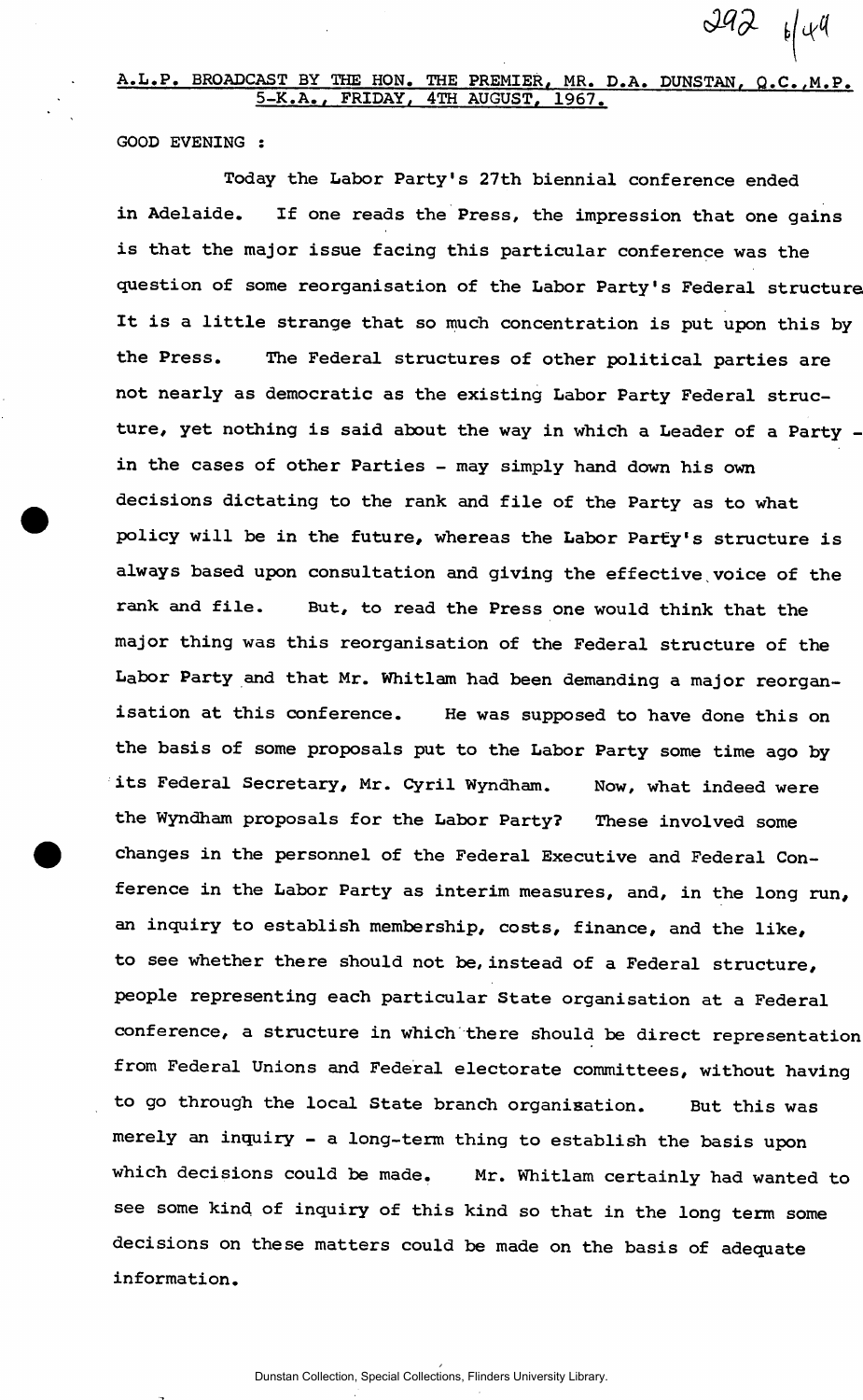BROADCAST BY THE HON. THE PREMIER, MR. D.A. DUNSTAN, Q.C., M.P. **5-K.A., FRIDAY, 4TH AUGUST, 1967.** 

 $Jq2 \theta q$ 

**GOOD EVENING :** 

**Today the Labor Party's 27th biennial conference ended in Adelaide. If one reads the Press, the impression that one gains is that the major issue facing this particular conference was the question of some reorganisation of the Labor Party's Federal structure It is a little strange that so much concentration is put upon this by the Press. The Federal structures of other political parties are not nearly as democratic as the existing Labor Party Federal structure, yet nothing is said about the way in which a Leader of a Party in the cases of other Parties - may simply hand down his own decisions dictating to the rank and file of the Party as to what policy will be in the future, whereas the Labor Party's structure is always based upon consultation and giving the effective voice of the rank and file. But, to read the Press one would think that the major thing was this reorganisation of the Federal structure of the Labor Party and that Mr. Whitlam had been demanding a major reorganisation at this conference. He was supposed to have done this on the basis of some proposals put to the Labor Party some time ago by its Federal Secretary, Mr. Cyril Wyndham. Now, what indeed were the Wyndham proposals for the Labor Party? These involved some changes in the personnel of the Federal Executive and Federal Conference in the Labor Party as interim measures, and, in the long run, an inquiry to establish membership, costs, finance, and the like, to see whether there should not be, instead of a Federal structure, people representing each particular State organisation at a Federal conference, a structure in which there should be direct representation from Federal Unions and Federal electorate committees, without having to go through the local State branch organisation. But this was merely an inquiry - a long-term thing to establish the basis upon which decisions could be made. Mr. Whitlam certainly had wanted to see some kind of inquiry of this kind so that in the long term some decisions on these matters could be made on the basis of adequate information.**